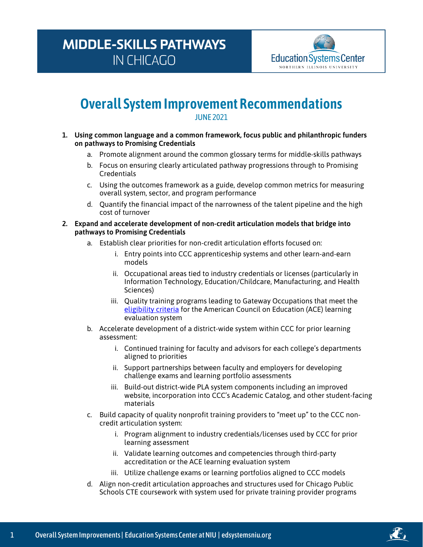## **MIDDLE-SKILLS PATHWAYS IN CHICAGO**



## **Overall System Improvement Recommendations** JUNE 2021

- **1. Using common language and a common framework, focus public and philanthropic funders on pathways to Promising Credentials**
	- a. Promote alignment around the common glossary terms for middle-skills pathways
	- b. Focus on ensuring clearly articulated pathway progressions through to Promising **Credentials**
	- c. Using the outcomes framework as a guide, develop common metrics for measuring overall system, sector, and program performance
	- d. Quantify the financial impact of the narrowness of the talent pipeline and the high cost of turnover

## **2. Expand and accelerate development of non-credit articulation models that bridge into pathways to Promising Credentials**

- a. Establish clear priorities for non-credit articulation efforts focused on:
	- i. Entry points into CCC apprenticeship systems and other learn-and-earn models
	- ii. Occupational areas tied to industry credentials or licenses (particularly in Information Technology, Education/Childcare, Manufacturing, and Health Sciences)
	- iii. Quality training programs leading to Gateway Occupations that meet the [eligibility criteria](https://www.acenet.edu/Documents/CREDIT-Criteria-to-Determine-Eligibility.pdf) for the American Council on Education (ACE) learning evaluation system
- b. Accelerate development of a district-wide system within CCC for prior learning assessment:
	- i. Continued training for faculty and advisors for each college's departments aligned to priorities
	- ii. Support partnerships between faculty and employers for developing challenge exams and learning portfolio assessments
	- iii. Build-out district-wide PLA system components including an improved website, incorporation into CCC's Academic Catalog, and other student-facing materials
- c. Build capacity of quality nonprofit training providers to "meet up" to the CCC noncredit articulation system:
	- i. Program alignment to industry credentials/licenses used by CCC for prior learning assessment
	- ii. Validate learning outcomes and competencies through third-party accreditation or the ACE learning evaluation system
	- iii. Utilize challenge exams or learning portfolios aligned to CCC models
- d. Align non-credit articulation approaches and structures used for Chicago Public Schools CTE coursework with system used for private training provider programs